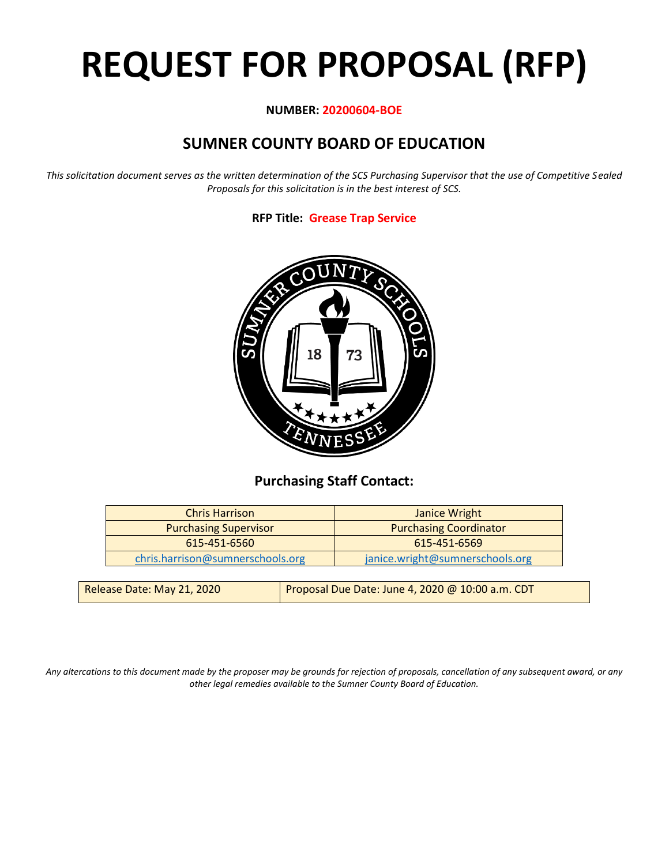# **REQUEST FOR PROPOSAL (RFP)**

#### **NUMBER: 20200604-BOE**

# **SUMNER COUNTY BOARD OF EDUCATION**

*This solicitation document serves as the written determination of the SCS Purchasing Supervisor that the use of Competitive Sealed Proposals for this solicitation is in the best interest of SCS.*

#### **RFP Title: Grease Trap Service**



## **Purchasing Staff Contact:**

| <b>Chris Harrison</b>            | Janice Wright                   |
|----------------------------------|---------------------------------|
| <b>Purchasing Supervisor</b>     | <b>Purchasing Coordinator</b>   |
| 615-451-6560                     | 615-451-6569                    |
| chris.harrison@sumnerschools.org | janice.wright@sumnerschools.org |
|                                  |                                 |

| Release Date: May 21, 2020 | Proposal Due Date: June 4, 2020 @ 10:00 a.m. CDT |
|----------------------------|--------------------------------------------------|
|                            |                                                  |

*Any altercations to this document made by the proposer may be grounds for rejection of proposals, cancellation of any subsequent award, or any other legal remedies available to the Sumner County Board of Education.*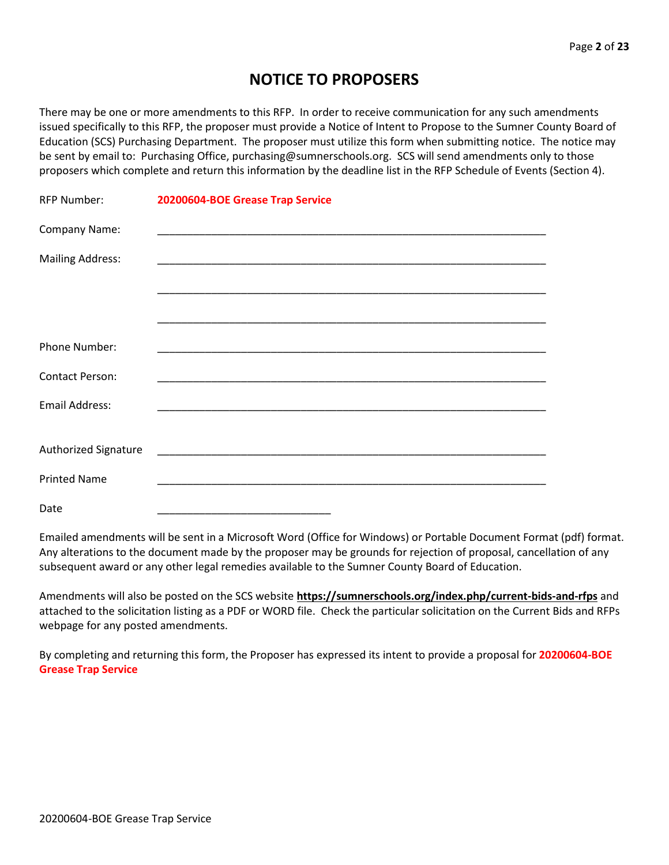## **NOTICE TO PROPOSERS**

There may be one or more amendments to this RFP. In order to receive communication for any such amendments issued specifically to this RFP, the proposer must provide a Notice of Intent to Propose to the Sumner County Board of Education (SCS) Purchasing Department. The proposer must utilize this form when submitting notice. The notice may be sent by email to: Purchasing Office, purchasing@sumnerschools.org. SCS will send amendments only to those proposers which complete and return this information by the deadline list in the RFP Schedule of Events (Section 4).

| <b>RFP Number:</b>      | 20200604-BOE Grease Trap Service |
|-------------------------|----------------------------------|
| Company Name:           |                                  |
| <b>Mailing Address:</b> |                                  |
|                         |                                  |
|                         |                                  |
| Phone Number:           |                                  |
| <b>Contact Person:</b>  |                                  |
| Email Address:          |                                  |
| Authorized Signature    |                                  |
| <b>Printed Name</b>     |                                  |
|                         |                                  |
| Date                    |                                  |

Emailed amendments will be sent in a Microsoft Word (Office for Windows) or Portable Document Format (pdf) format. Any alterations to the document made by the proposer may be grounds for rejection of proposal, cancellation of any subsequent award or any other legal remedies available to the Sumner County Board of Education.

Amendments will also be posted on the SCS website **https://sumnerschools.org/index.php/current-bids-and-rfps** and attached to the solicitation listing as a PDF or WORD file. Check the particular solicitation on the Current Bids and RFPs webpage for any posted amendments.

By completing and returning this form, the Proposer has expressed its intent to provide a proposal for **20200604-BOE Grease Trap Service**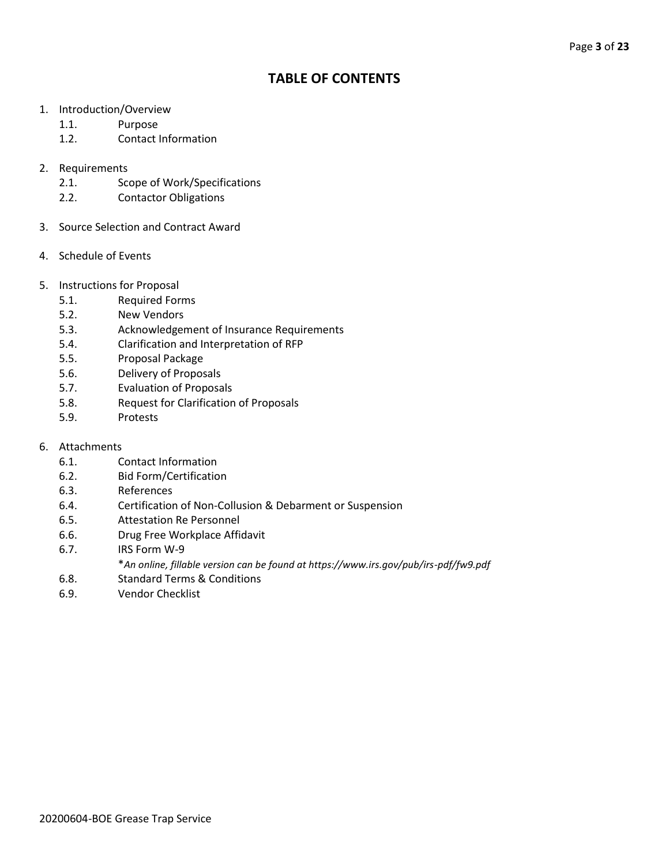## **TABLE OF CONTENTS**

- 1. Introduction/Overview
	- 1.1. Purpose
	- 1.2. Contact Information
- 2. Requirements
	- 2.1. Scope of Work/Specifications
	- 2.2. Contactor Obligations
- 3. Source Selection and Contract Award
- 4. Schedule of Events
- 5. Instructions for Proposal
	- 5.1. Required Forms
	- 5.2. New Vendors
	- 5.3. Acknowledgement of Insurance Requirements
	- 5.4. Clarification and Interpretation of RFP
	- 5.5. Proposal Package
	- 5.6. Delivery of Proposals
	- 5.7. Evaluation of Proposals
	- 5.8. Request for Clarification of Proposals
	- 5.9. Protests
- 6. Attachments
	- 6.1. Contact Information
	- 6.2. Bid Form/Certification
	- 6.3. References
	- 6.4. Certification of Non-Collusion & Debarment or Suspension
	- 6.5. Attestation Re Personnel
	- 6.6. Drug Free Workplace Affidavit
	- 6.7. IRS Form W-9
		- \**An online, fillable version can be found at https://www.irs.gov/pub/irs-pdf/fw9.pdf*
	- 6.8. Standard Terms & Conditions
	- 6.9. Vendor Checklist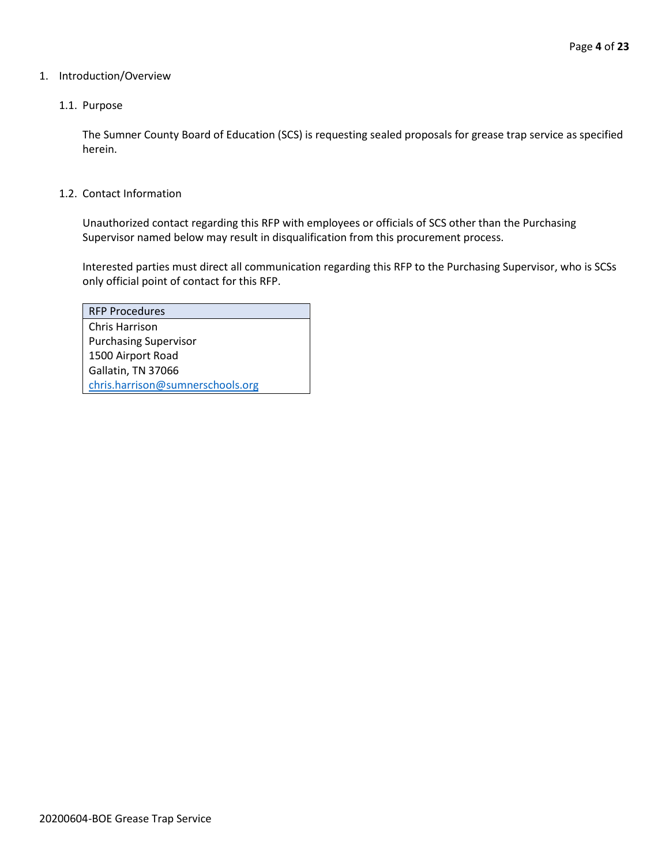#### 1. Introduction/Overview

#### 1.1. Purpose

The Sumner County Board of Education (SCS) is requesting sealed proposals for grease trap service as specified herein.

#### 1.2. Contact Information

Unauthorized contact regarding this RFP with employees or officials of SCS other than the Purchasing Supervisor named below may result in disqualification from this procurement process.

Interested parties must direct all communication regarding this RFP to the Purchasing Supervisor, who is SCSs only official point of contact for this RFP.

| <b>RFP Procedures</b>            |
|----------------------------------|
| Chris Harrison                   |
| <b>Purchasing Supervisor</b>     |
| 1500 Airport Road                |
| Gallatin, TN 37066               |
| chris.harrison@sumnerschools.org |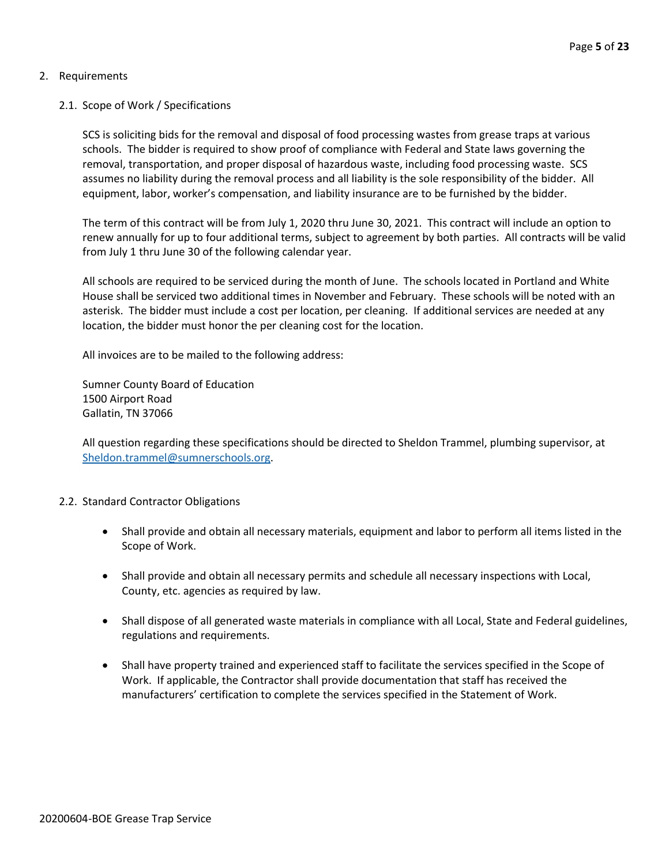#### 2. Requirements

#### 2.1. Scope of Work / Specifications

SCS is soliciting bids for the removal and disposal of food processing wastes from grease traps at various schools. The bidder is required to show proof of compliance with Federal and State laws governing the removal, transportation, and proper disposal of hazardous waste, including food processing waste. SCS assumes no liability during the removal process and all liability is the sole responsibility of the bidder. All equipment, labor, worker's compensation, and liability insurance are to be furnished by the bidder.

The term of this contract will be from July 1, 2020 thru June 30, 2021. This contract will include an option to renew annually for up to four additional terms, subject to agreement by both parties. All contracts will be valid from July 1 thru June 30 of the following calendar year.

All schools are required to be serviced during the month of June. The schools located in Portland and White House shall be serviced two additional times in November and February. These schools will be noted with an asterisk. The bidder must include a cost per location, per cleaning. If additional services are needed at any location, the bidder must honor the per cleaning cost for the location.

All invoices are to be mailed to the following address:

Sumner County Board of Education 1500 Airport Road Gallatin, TN 37066

All question regarding these specifications should be directed to Sheldon Trammel, plumbing supervisor, at [Sheldon.trammel@sumnerschools.org.](mailto:Sheldon.trammel@sumnerschools.org)

#### 2.2. Standard Contractor Obligations

- Shall provide and obtain all necessary materials, equipment and labor to perform all items listed in the Scope of Work.
- Shall provide and obtain all necessary permits and schedule all necessary inspections with Local, County, etc. agencies as required by law.
- Shall dispose of all generated waste materials in compliance with all Local, State and Federal guidelines, regulations and requirements.
- Shall have property trained and experienced staff to facilitate the services specified in the Scope of Work. If applicable, the Contractor shall provide documentation that staff has received the manufacturers' certification to complete the services specified in the Statement of Work.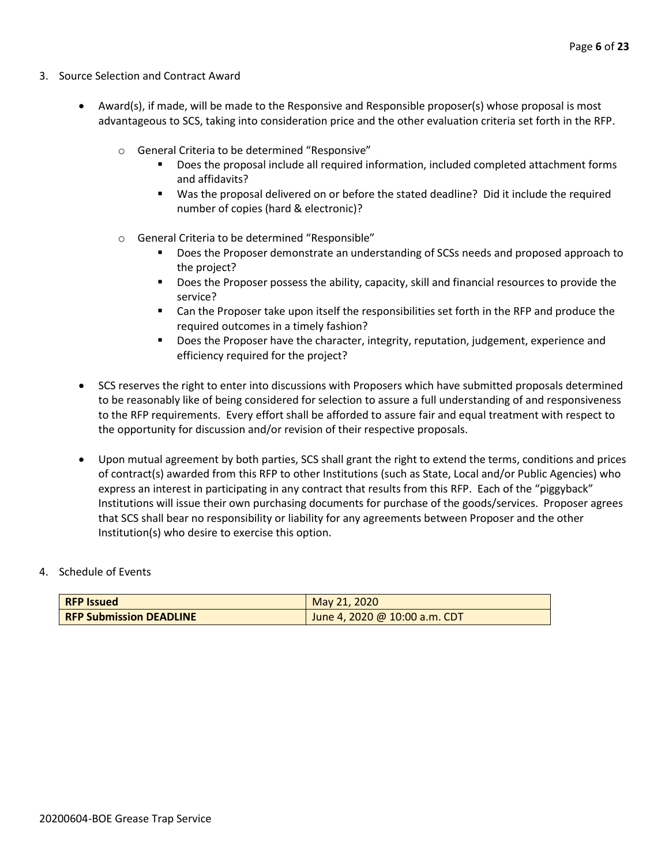- 3. Source Selection and Contract Award
	- Award(s), if made, will be made to the Responsive and Responsible proposer(s) whose proposal is most advantageous to SCS, taking into consideration price and the other evaluation criteria set forth in the RFP.
		- o General Criteria to be determined "Responsive"
			- Does the proposal include all required information, included completed attachment forms and affidavits?
			- Was the proposal delivered on or before the stated deadline? Did it include the required number of copies (hard & electronic)?
		- o General Criteria to be determined "Responsible"
			- Does the Proposer demonstrate an understanding of SCSs needs and proposed approach to the project?
			- Does the Proposer possess the ability, capacity, skill and financial resources to provide the service?
			- Can the Proposer take upon itself the responsibilities set forth in the RFP and produce the required outcomes in a timely fashion?
			- **■** Does the Proposer have the character, integrity, reputation, judgement, experience and efficiency required for the project?
	- SCS reserves the right to enter into discussions with Proposers which have submitted proposals determined to be reasonably like of being considered for selection to assure a full understanding of and responsiveness to the RFP requirements. Every effort shall be afforded to assure fair and equal treatment with respect to the opportunity for discussion and/or revision of their respective proposals.
	- Upon mutual agreement by both parties, SCS shall grant the right to extend the terms, conditions and prices of contract(s) awarded from this RFP to other Institutions (such as State, Local and/or Public Agencies) who express an interest in participating in any contract that results from this RFP. Each of the "piggyback" Institutions will issue their own purchasing documents for purchase of the goods/services. Proposer agrees that SCS shall bear no responsibility or liability for any agreements between Proposer and the other Institution(s) who desire to exercise this option.

#### 4. Schedule of Events

| <b>RFP Issued</b>              | May 21, 2020                  |
|--------------------------------|-------------------------------|
| <b>RFP Submission DEADLINE</b> | June 4, 2020 @ 10:00 a.m. CDT |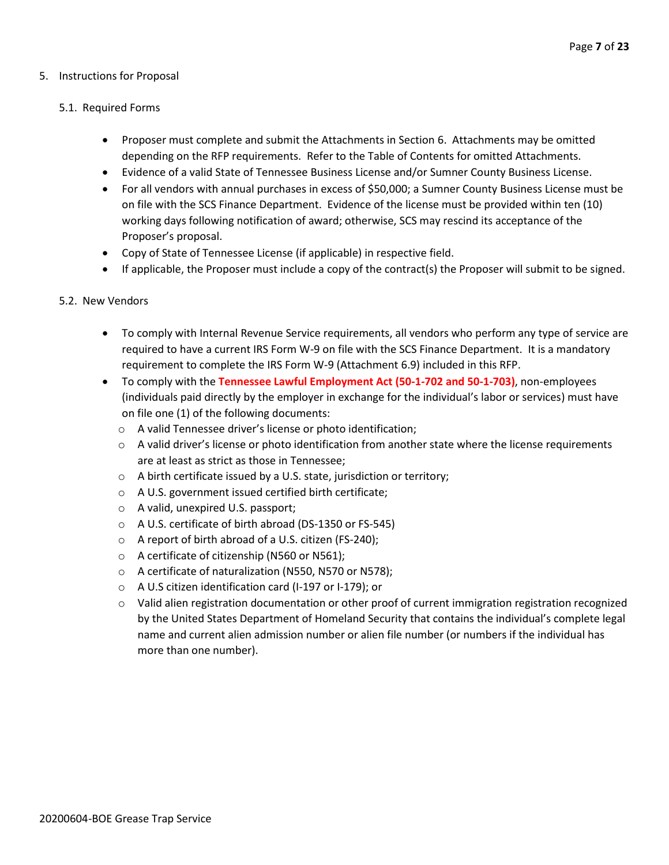#### 5. Instructions for Proposal

#### 5.1. Required Forms

- Proposer must complete and submit the Attachments in Section 6. Attachments may be omitted depending on the RFP requirements. Refer to the Table of Contents for omitted Attachments.
- Evidence of a valid State of Tennessee Business License and/or Sumner County Business License.
- For all vendors with annual purchases in excess of \$50,000; a Sumner County Business License must be on file with the SCS Finance Department. Evidence of the license must be provided within ten (10) working days following notification of award; otherwise, SCS may rescind its acceptance of the Proposer's proposal.
- Copy of State of Tennessee License (if applicable) in respective field.
- If applicable, the Proposer must include a copy of the contract(s) the Proposer will submit to be signed.

#### 5.2. New Vendors

- To comply with Internal Revenue Service requirements, all vendors who perform any type of service are required to have a current IRS Form W-9 on file with the SCS Finance Department. It is a mandatory requirement to complete the IRS Form W-9 (Attachment 6.9) included in this RFP.
- To comply with the **Tennessee Lawful Employment Act (50-1-702 and 50-1-703)**, non-employees (individuals paid directly by the employer in exchange for the individual's labor or services) must have on file one (1) of the following documents:
	- o A valid Tennessee driver's license or photo identification;
	- $\circ$  A valid driver's license or photo identification from another state where the license requirements are at least as strict as those in Tennessee;
	- o A birth certificate issued by a U.S. state, jurisdiction or territory;
	- o A U.S. government issued certified birth certificate;
	- o A valid, unexpired U.S. passport;
	- o A U.S. certificate of birth abroad (DS-1350 or FS-545)
	- o A report of birth abroad of a U.S. citizen (FS-240);
	- o A certificate of citizenship (N560 or N561);
	- o A certificate of naturalization (N550, N570 or N578);
	- o A U.S citizen identification card (I-197 or I-179); or
	- $\circ$  Valid alien registration documentation or other proof of current immigration registration recognized by the United States Department of Homeland Security that contains the individual's complete legal name and current alien admission number or alien file number (or numbers if the individual has more than one number).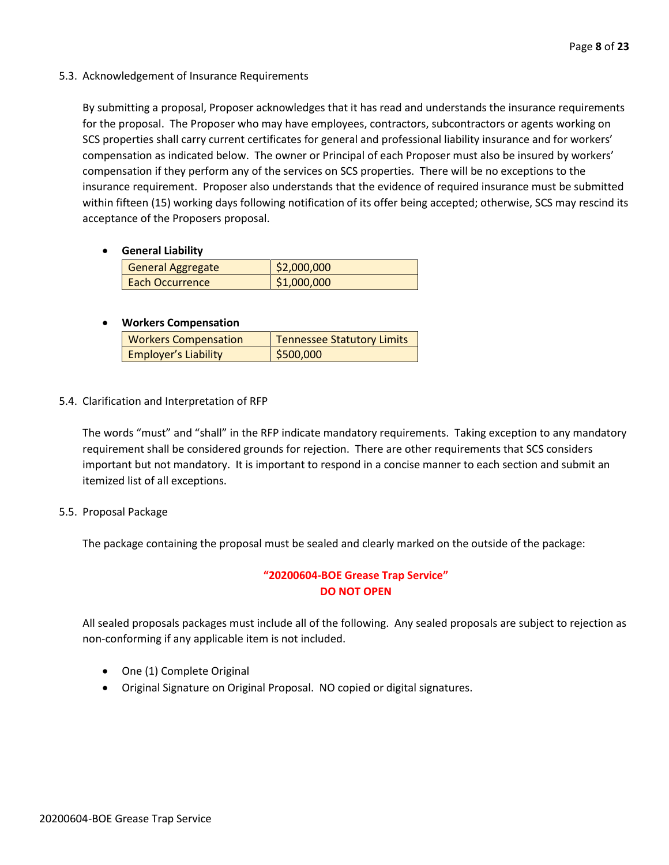#### 5.3. Acknowledgement of Insurance Requirements

By submitting a proposal, Proposer acknowledges that it has read and understands the insurance requirements for the proposal. The Proposer who may have employees, contractors, subcontractors or agents working on SCS properties shall carry current certificates for general and professional liability insurance and for workers' compensation as indicated below. The owner or Principal of each Proposer must also be insured by workers' compensation if they perform any of the services on SCS properties. There will be no exceptions to the insurance requirement. Proposer also understands that the evidence of required insurance must be submitted within fifteen (15) working days following notification of its offer being accepted; otherwise, SCS may rescind its acceptance of the Proposers proposal.

#### • **General Liability**

| General Aggregate      | \$2,000,000 |
|------------------------|-------------|
| <b>Each Occurrence</b> | \$1,000,000 |

#### • **Workers Compensation**

| <b>Workers Compensation</b> | <b>Tennessee Statutory Limits</b> |
|-----------------------------|-----------------------------------|
| <b>Employer's Liability</b> | \$500,000                         |

#### 5.4. Clarification and Interpretation of RFP

The words "must" and "shall" in the RFP indicate mandatory requirements. Taking exception to any mandatory requirement shall be considered grounds for rejection. There are other requirements that SCS considers important but not mandatory. It is important to respond in a concise manner to each section and submit an itemized list of all exceptions.

#### 5.5. Proposal Package

The package containing the proposal must be sealed and clearly marked on the outside of the package:

#### **"20200604-BOE Grease Trap Service" DO NOT OPEN**

All sealed proposals packages must include all of the following. Any sealed proposals are subject to rejection as non-conforming if any applicable item is not included.

- One (1) Complete Original
- Original Signature on Original Proposal. NO copied or digital signatures.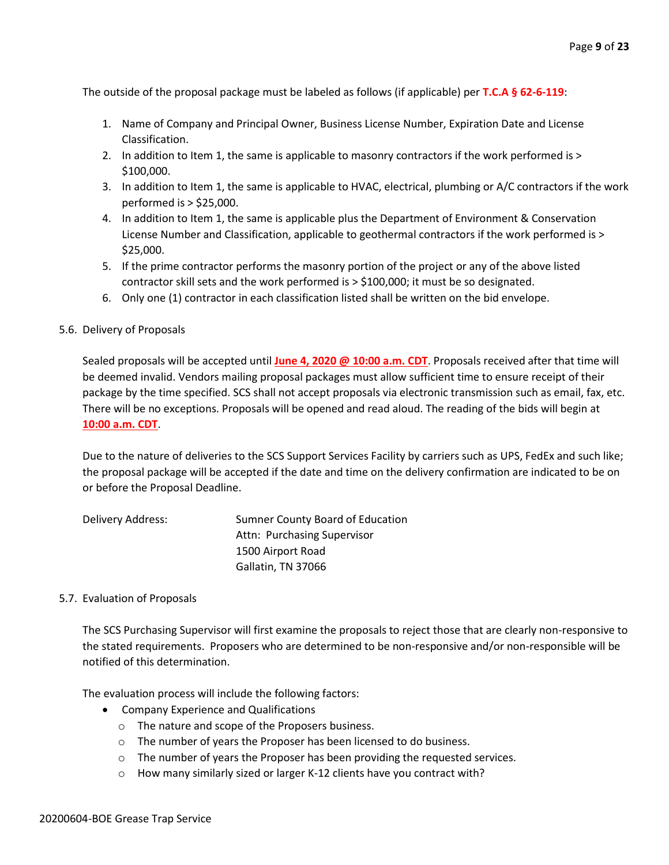The outside of the proposal package must be labeled as follows (if applicable) per **T.C.A § 62-6-119**:

- 1. Name of Company and Principal Owner, Business License Number, Expiration Date and License Classification.
- 2. In addition to Item 1, the same is applicable to masonry contractors if the work performed is > \$100,000.
- 3. In addition to Item 1, the same is applicable to HVAC, electrical, plumbing or A/C contractors if the work performed is > \$25,000.
- 4. In addition to Item 1, the same is applicable plus the Department of Environment & Conservation License Number and Classification, applicable to geothermal contractors if the work performed is > \$25,000.
- 5. If the prime contractor performs the masonry portion of the project or any of the above listed contractor skill sets and the work performed is > \$100,000; it must be so designated.
- 6. Only one (1) contractor in each classification listed shall be written on the bid envelope.

#### 5.6. Delivery of Proposals

Sealed proposals will be accepted until **June 4, 2020 @ 10:00 a.m. CDT**. Proposals received after that time will be deemed invalid. Vendors mailing proposal packages must allow sufficient time to ensure receipt of their package by the time specified. SCS shall not accept proposals via electronic transmission such as email, fax, etc. There will be no exceptions. Proposals will be opened and read aloud. The reading of the bids will begin at **10:00 a.m. CDT**.

Due to the nature of deliveries to the SCS Support Services Facility by carriers such as UPS, FedEx and such like; the proposal package will be accepted if the date and time on the delivery confirmation are indicated to be on or before the Proposal Deadline.

| Delivery Address: | Sumner County Board of Education |
|-------------------|----------------------------------|
|                   | Attn: Purchasing Supervisor      |
|                   | 1500 Airport Road                |
|                   | Gallatin, TN 37066               |

#### 5.7. Evaluation of Proposals

The SCS Purchasing Supervisor will first examine the proposals to reject those that are clearly non-responsive to the stated requirements. Proposers who are determined to be non-responsive and/or non-responsible will be notified of this determination.

The evaluation process will include the following factors:

- Company Experience and Qualifications
	- o The nature and scope of the Proposers business.
	- o The number of years the Proposer has been licensed to do business.
	- o The number of years the Proposer has been providing the requested services.
	- o How many similarly sized or larger K-12 clients have you contract with?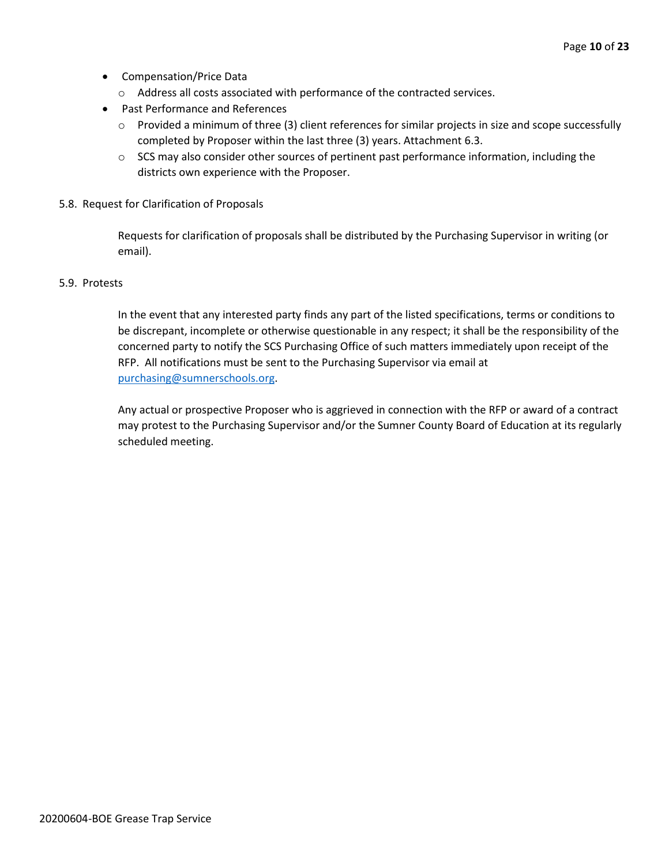- Compensation/Price Data
	- o Address all costs associated with performance of the contracted services.
- Past Performance and References
	- o Provided a minimum of three (3) client references for similar projects in size and scope successfully completed by Proposer within the last three (3) years. Attachment 6.3.
	- $\circ$  SCS may also consider other sources of pertinent past performance information, including the districts own experience with the Proposer.
- 5.8. Request for Clarification of Proposals

Requests for clarification of proposals shall be distributed by the Purchasing Supervisor in writing (or email).

#### 5.9. Protests

In the event that any interested party finds any part of the listed specifications, terms or conditions to be discrepant, incomplete or otherwise questionable in any respect; it shall be the responsibility of the concerned party to notify the SCS Purchasing Office of such matters immediately upon receipt of the RFP. All notifications must be sent to the Purchasing Supervisor via email at [purchasing@sumnerschools.org.](mailto:purchasing@sumnerschools.org)

Any actual or prospective Proposer who is aggrieved in connection with the RFP or award of a contract may protest to the Purchasing Supervisor and/or the Sumner County Board of Education at its regularly scheduled meeting.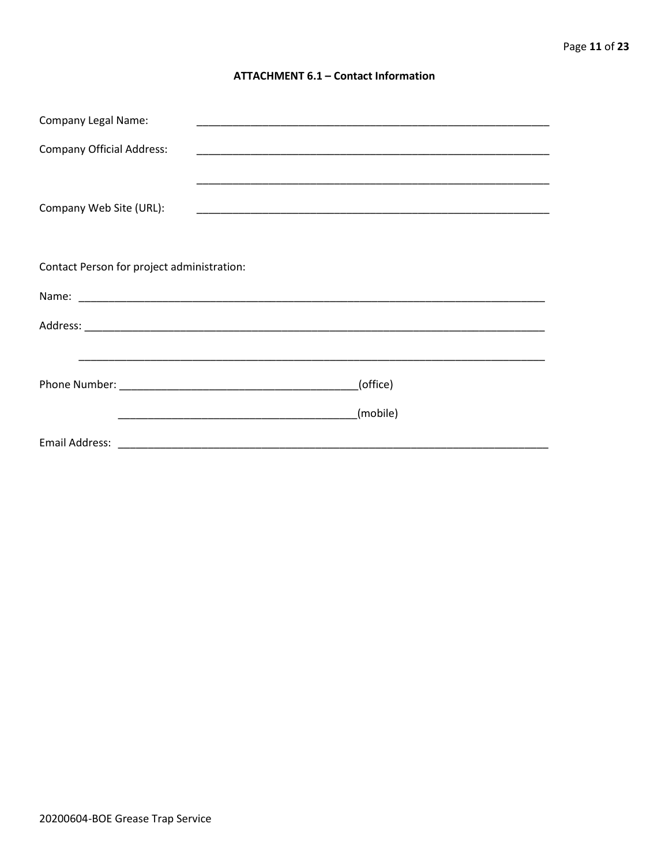#### **ATTACHMENT 6.1 - Contact Information**

| <b>Company Legal Name:</b>                 |          |
|--------------------------------------------|----------|
| <b>Company Official Address:</b>           |          |
|                                            |          |
| Company Web Site (URL):                    |          |
|                                            |          |
|                                            |          |
| Contact Person for project administration: |          |
|                                            |          |
|                                            |          |
|                                            |          |
|                                            | (office) |
|                                            |          |
|                                            | (mobile) |
|                                            |          |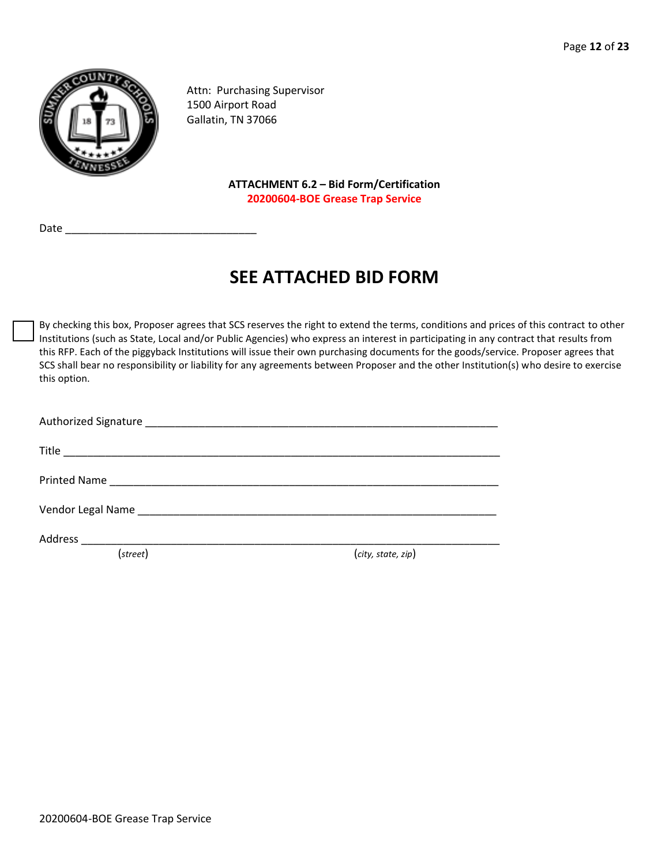

Attn: Purchasing Supervisor 1500 Airport Road Gallatin, TN 37066

> **ATTACHMENT 6.2 – Bid Form/Certification 20200604-BOE Grease Trap Service**

Date

# **SEE ATTACHED BID FORM**

By checking this box, Proposer agrees that SCS reserves the right to extend the terms, conditions and prices of this contract to other Institutions (such as State, Local and/or Public Agencies) who express an interest in participating in any contract that results from this RFP. Each of the piggyback Institutions will issue their own purchasing documents for the goods/service. Proposer agrees that SCS shall bear no responsibility or liability for any agreements between Proposer and the other Institution(s) who desire to exercise this option.

| Address __________________________________ |                    |
|--------------------------------------------|--------------------|
| (street)                                   | (city, state, zip) |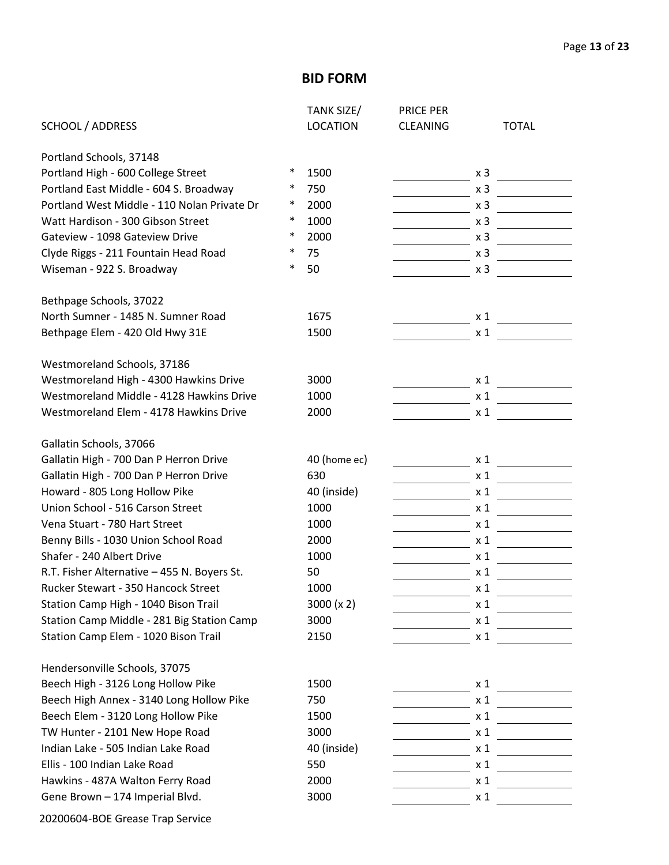## **BID FORM**

|                                             |        | TANK SIZE/      | <b>PRICE PER</b> |                |
|---------------------------------------------|--------|-----------------|------------------|----------------|
| <b>SCHOOL / ADDRESS</b>                     |        | <b>LOCATION</b> | <b>CLEANING</b>  | <b>TOTAL</b>   |
| Portland Schools, 37148                     |        |                 |                  |                |
| Portland High - 600 College Street          | $\ast$ | 1500            |                  | x <sub>3</sub> |
| Portland East Middle - 604 S. Broadway      | ∗      | 750             |                  | x <sub>3</sub> |
| Portland West Middle - 110 Nolan Private Dr | $\ast$ | 2000            |                  | x <sub>3</sub> |
| Watt Hardison - 300 Gibson Street           | $\ast$ | 1000            |                  | x <sub>3</sub> |
| Gateview - 1098 Gateview Drive              | $\ast$ | 2000            |                  | x <sub>3</sub> |
| Clyde Riggs - 211 Fountain Head Road        | ∗      | 75              |                  | x <sub>3</sub> |
| Wiseman - 922 S. Broadway                   | $\ast$ | 50              |                  | x <sub>3</sub> |
| Bethpage Schools, 37022                     |        |                 |                  |                |
| North Sumner - 1485 N. Sumner Road          |        | 1675            |                  | x <sub>1</sub> |
| Bethpage Elem - 420 Old Hwy 31E             |        | 1500            |                  | $\times$ 1     |
| Westmoreland Schools, 37186                 |        |                 |                  |                |
| Westmoreland High - 4300 Hawkins Drive      |        | 3000            |                  | x <sub>1</sub> |
| Westmoreland Middle - 4128 Hawkins Drive    |        | 1000            |                  | x <sub>1</sub> |
| Westmoreland Elem - 4178 Hawkins Drive      |        | 2000            |                  | x <sub>1</sub> |
| Gallatin Schools, 37066                     |        |                 |                  |                |
| Gallatin High - 700 Dan P Herron Drive      |        | 40 (home ec)    |                  | x <sub>1</sub> |
| Gallatin High - 700 Dan P Herron Drive      |        | 630             |                  | $x_1$          |
| Howard - 805 Long Hollow Pike               |        | 40 (inside)     |                  | $x_1$          |
| Union School - 516 Carson Street            |        | 1000            |                  | $x_1$          |
| Vena Stuart - 780 Hart Street               |        | 1000            |                  | $x_1$          |
| Benny Bills - 1030 Union School Road        |        | 2000            |                  | x <sub>1</sub> |
| Shafer - 240 Albert Drive                   |        | 1000            |                  | x <sub>1</sub> |
| R.T. Fisher Alternative - 455 N. Boyers St. |        | 50              |                  | x <sub>1</sub> |
| Rucker Stewart - 350 Hancock Street         |        | 1000            |                  | $x_1$          |
| Station Camp High - 1040 Bison Trail        |        | 3000 (x 2)      |                  | $\times$ 1     |
| Station Camp Middle - 281 Big Station Camp  |        | 3000            |                  | $\times$ 1     |
| Station Camp Elem - 1020 Bison Trail        |        | 2150            |                  | $x_1$          |
| Hendersonville Schools, 37075               |        |                 |                  |                |
| Beech High - 3126 Long Hollow Pike          |        | 1500            |                  | x 1            |
| Beech High Annex - 3140 Long Hollow Pike    |        | 750             |                  | $x_1$          |
| Beech Elem - 3120 Long Hollow Pike          |        | 1500            |                  | $x_1$          |
| TW Hunter - 2101 New Hope Road              |        | 3000            |                  | $x_1$          |
| Indian Lake - 505 Indian Lake Road          |        | 40 (inside)     |                  | $x_1$          |
| Ellis - 100 Indian Lake Road                |        | 550             |                  | $x_1$          |
| Hawkins - 487A Walton Ferry Road            |        | 2000            |                  | $x_1$          |
| Gene Brown - 174 Imperial Blvd.             |        | 3000            |                  | $x_1$          |
|                                             |        |                 |                  |                |

20200604-BOE Grease Trap Service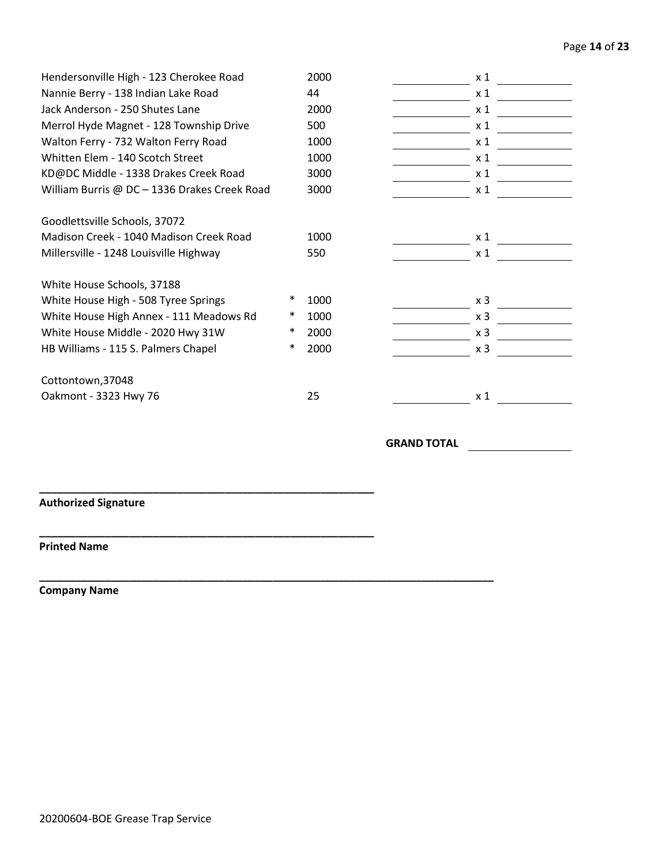#### Page **14** of **23**

| Hendersonville High - 123 Cherokee Road      |        | 2000 | x <sub>1</sub> |
|----------------------------------------------|--------|------|----------------|
| Nannie Berry - 138 Indian Lake Road          |        | 44   | x <sub>1</sub> |
| Jack Anderson - 250 Shutes Lane              |        | 2000 | x <sub>1</sub> |
| Merrol Hyde Magnet - 128 Township Drive      |        | 500  | x <sub>1</sub> |
| Walton Ferry - 732 Walton Ferry Road         |        | 1000 | x 1            |
| Whitten Elem - 140 Scotch Street             |        | 1000 | x 1            |
| KD@DC Middle - 1338 Drakes Creek Road        |        | 3000 | x <sub>1</sub> |
| William Burris @ DC - 1336 Drakes Creek Road |        | 3000 | x <sub>1</sub> |
| Goodlettsville Schools, 37072                |        |      |                |
| Madison Creek - 1040 Madison Creek Road      |        | 1000 | x <sub>1</sub> |
| Millersville - 1248 Louisville Highway       |        | 550  | x <sub>1</sub> |
| White House Schools, 37188                   |        |      |                |
| White House High - 508 Tyree Springs         | ∗      | 1000 | x <sub>3</sub> |
| White House High Annex - 111 Meadows Rd      | ∗      | 1000 | x <sub>3</sub> |
| White House Middle - 2020 Hwy 31W            | ∗      | 2000 | x <sub>3</sub> |
| HB Williams - 115 S. Palmers Chapel          | $\ast$ | 2000 | x <sub>3</sub> |
| Cottontown, 37048                            |        |      |                |
| Oakmont - 3323 Hwy 76                        |        | 25   | $x_1$          |
|                                              |        |      |                |

**GRAND TOTAL**

### **Authorized Signature**

**\_\_\_\_\_\_\_\_\_\_\_\_\_\_\_\_\_\_\_\_\_\_\_\_\_\_\_\_\_\_\_\_\_\_\_\_\_\_\_\_\_\_\_\_\_\_\_\_\_\_\_\_\_\_\_\_**

**\_\_\_\_\_\_\_\_\_\_\_\_\_\_\_\_\_\_\_\_\_\_\_\_\_\_\_\_\_\_\_\_\_\_\_\_\_\_\_\_\_\_\_\_\_\_\_\_\_\_\_\_\_\_\_\_**

**\_\_\_\_\_\_\_\_\_\_\_\_\_\_\_\_\_\_\_\_\_\_\_\_\_\_\_\_\_\_\_\_\_\_\_\_\_\_\_\_\_\_\_\_\_\_\_\_\_\_\_\_\_\_\_\_\_\_\_\_\_\_\_\_\_\_\_\_\_\_\_\_\_\_\_\_**

#### **Printed Name**

**Company Name**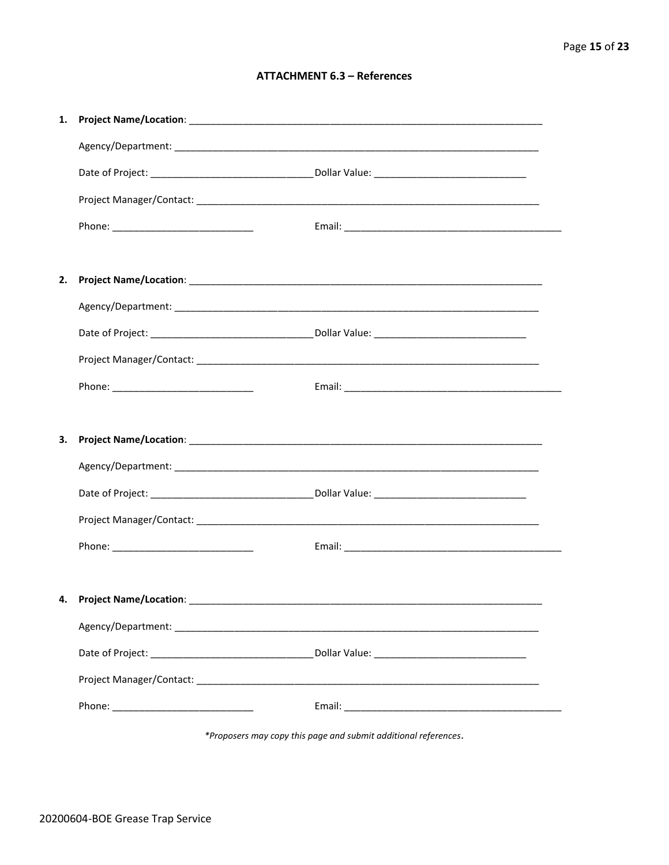#### **ATTACHMENT 6.3 - References**

| 1. |                                     |  |
|----|-------------------------------------|--|
|    |                                     |  |
|    |                                     |  |
|    |                                     |  |
|    |                                     |  |
|    |                                     |  |
| 2. |                                     |  |
|    |                                     |  |
|    |                                     |  |
|    |                                     |  |
|    |                                     |  |
|    |                                     |  |
|    |                                     |  |
| 3. |                                     |  |
|    |                                     |  |
|    |                                     |  |
|    |                                     |  |
|    |                                     |  |
|    |                                     |  |
|    | 4. Project Name/Location: _________ |  |
|    |                                     |  |
|    |                                     |  |
|    |                                     |  |

\*Proposers may copy this page and submit additional references.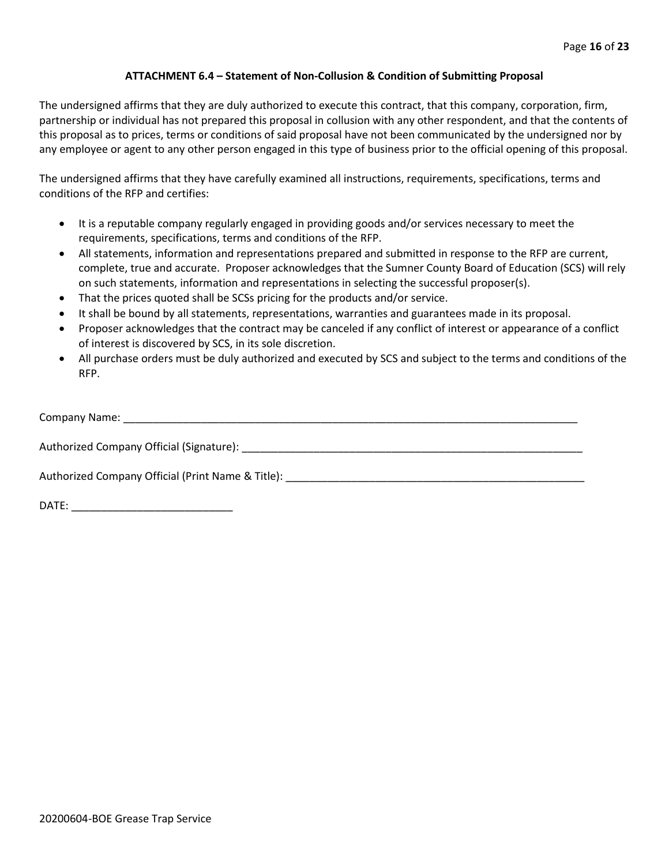#### **ATTACHMENT 6.4 – Statement of Non-Collusion & Condition of Submitting Proposal**

The undersigned affirms that they are duly authorized to execute this contract, that this company, corporation, firm, partnership or individual has not prepared this proposal in collusion with any other respondent, and that the contents of this proposal as to prices, terms or conditions of said proposal have not been communicated by the undersigned nor by any employee or agent to any other person engaged in this type of business prior to the official opening of this proposal.

The undersigned affirms that they have carefully examined all instructions, requirements, specifications, terms and conditions of the RFP and certifies:

- It is a reputable company regularly engaged in providing goods and/or services necessary to meet the requirements, specifications, terms and conditions of the RFP.
- All statements, information and representations prepared and submitted in response to the RFP are current, complete, true and accurate. Proposer acknowledges that the Sumner County Board of Education (SCS) will rely on such statements, information and representations in selecting the successful proposer(s).
- That the prices quoted shall be SCSs pricing for the products and/or service.
- It shall be bound by all statements, representations, warranties and guarantees made in its proposal.
- Proposer acknowledges that the contract may be canceled if any conflict of interest or appearance of a conflict of interest is discovered by SCS, in its sole discretion.
- All purchase orders must be duly authorized and executed by SCS and subject to the terms and conditions of the RFP.

| Company Name:                                     |
|---------------------------------------------------|
| Authorized Company Official (Signature):          |
| Authorized Company Official (Print Name & Title): |

DATE: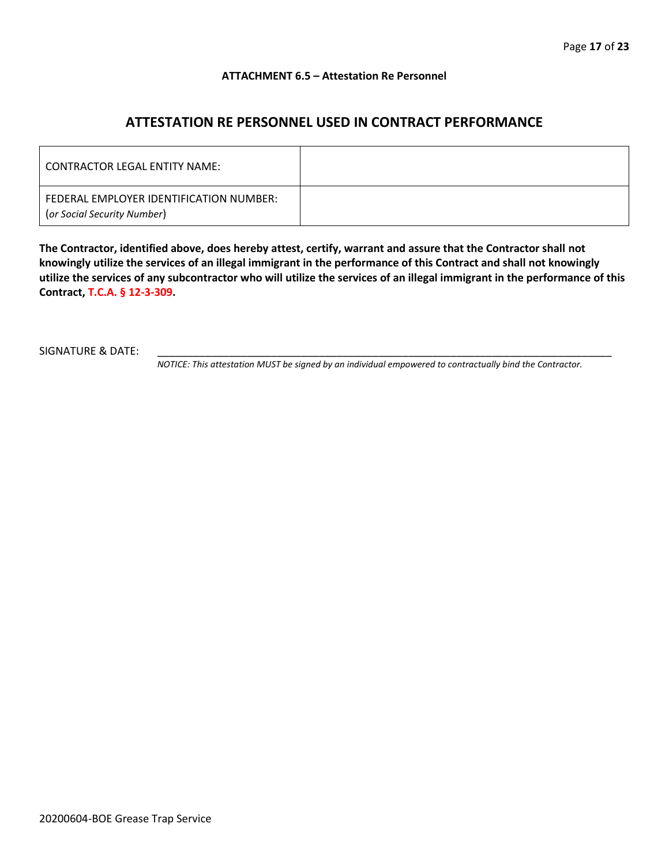#### **ATTACHMENT 6.5 – Attestation Re Personnel**

## **ATTESTATION RE PERSONNEL USED IN CONTRACT PERFORMANCE**

| CONTRACTOR LEGAL ENTITY NAME:                                          |  |
|------------------------------------------------------------------------|--|
| FEDERAL EMPLOYER IDENTIFICATION NUMBER:<br>(or Social Security Number) |  |

**The Contractor, identified above, does hereby attest, certify, warrant and assure that the Contractor shall not knowingly utilize the services of an illegal immigrant in the performance of this Contract and shall not knowingly utilize the services of any subcontractor who will utilize the services of an illegal immigrant in the performance of this Contract, T.C.A. § 12-3-309.**

SIGNATURE & DATE:

*NOTICE: This attestation MUST be signed by an individual empowered to contractually bind the Contractor.*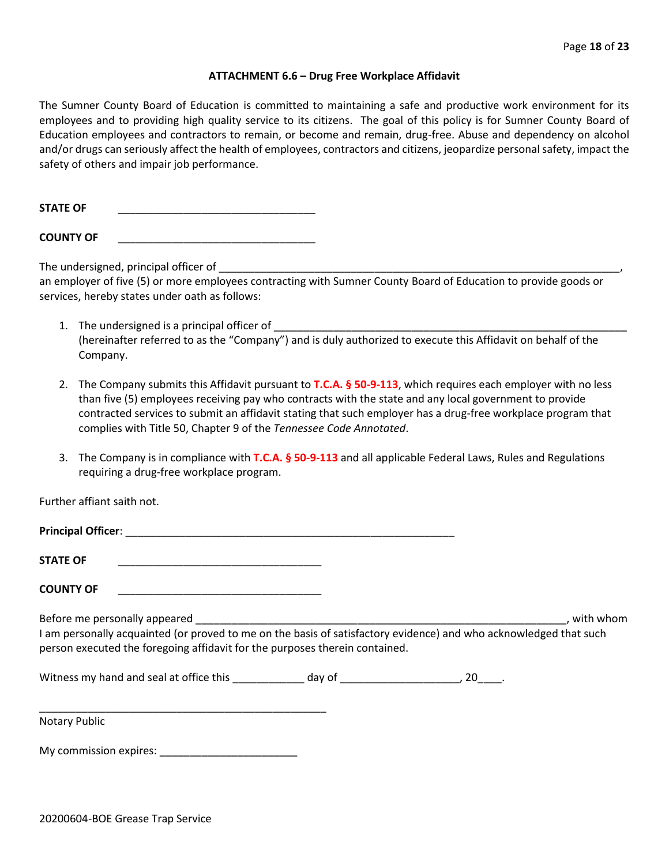#### **ATTACHMENT 6.6 – Drug Free Workplace Affidavit**

The Sumner County Board of Education is committed to maintaining a safe and productive work environment for its employees and to providing high quality service to its citizens. The goal of this policy is for Sumner County Board of Education employees and contractors to remain, or become and remain, drug-free. Abuse and dependency on alcohol and/or drugs can seriously affect the health of employees, contractors and citizens, jeopardize personal safety, impact the safety of others and impair job performance.

STATE OF

**COUNTY OF** \_\_\_\_\_\_\_\_\_\_\_\_\_\_\_\_\_\_\_\_\_\_\_\_\_\_\_\_\_\_\_\_\_

The undersigned, principal officer of

an employer of five (5) or more employees contracting with Sumner County Board of Education to provide goods or services, hereby states under oath as follows:

- 1. The undersigned is a principal officer of (hereinafter referred to as the "Company") and is duly authorized to execute this Affidavit on behalf of the Company.
- 2. The Company submits this Affidavit pursuant to **T.C.A. § 50-9-113**, which requires each employer with no less than five (5) employees receiving pay who contracts with the state and any local government to provide contracted services to submit an affidavit stating that such employer has a drug-free workplace program that complies with Title 50, Chapter 9 of the *Tennessee Code Annotated*.
- 3. The Company is in compliance with **T.C.A. § 50-9-113** and all applicable Federal Laws, Rules and Regulations requiring a drug-free workplace program.

Further affiant saith not.

| Principal Officer: |  |
|--------------------|--|
|                    |  |
| <b>STATE OF</b>    |  |

**COUNTY OF** \_\_\_\_\_\_\_\_\_\_\_\_\_\_\_\_\_\_\_\_\_\_\_\_\_\_\_\_\_\_\_\_\_\_

Before me personally appeared \_\_\_\_\_\_\_\_\_\_\_\_\_\_\_\_\_\_\_\_\_\_\_\_\_\_\_\_\_\_\_\_\_\_\_\_\_\_\_\_\_\_\_\_\_\_\_\_\_\_\_\_\_\_\_\_\_\_\_\_\_\_, with whom I am personally acquainted (or proved to me on the basis of satisfactory evidence) and who acknowledged that such person executed the foregoing affidavit for the purposes therein contained.

Witness my hand and seal at office this \_\_\_\_\_\_\_\_\_\_\_\_\_ day of \_\_\_\_\_\_\_\_\_\_\_\_\_\_\_\_\_\_\_\_\_, 20\_\_\_\_.

\_\_\_\_\_\_\_\_\_\_\_\_\_\_\_\_\_\_\_\_\_\_\_\_\_\_\_\_\_\_\_\_\_\_\_\_\_\_\_\_\_\_\_\_\_\_\_\_ Notary Public

My commission expires: \_\_\_\_\_\_\_\_\_\_\_\_\_\_\_\_\_\_\_\_\_\_\_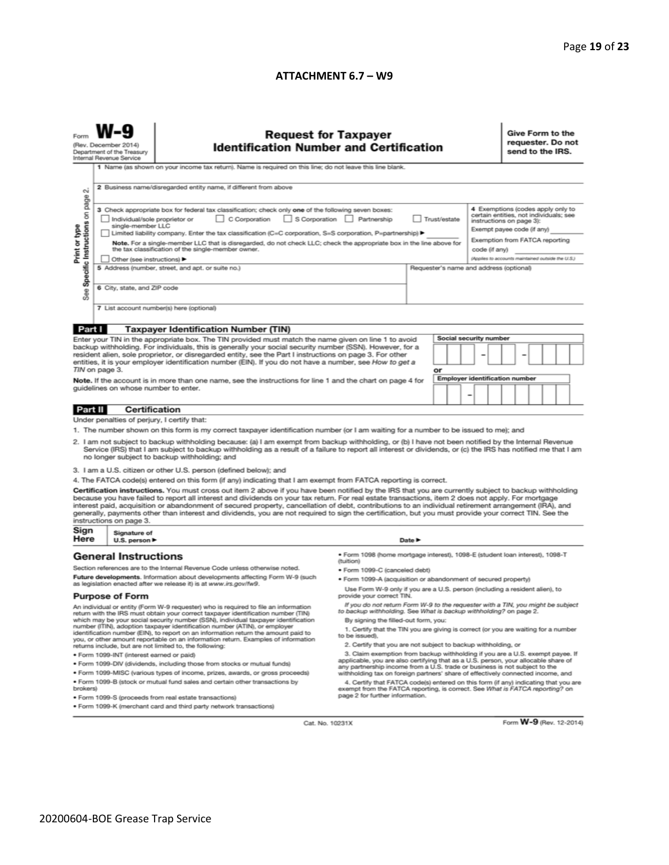#### **ATTACHMENT 6.7 – W9**

|                                                                                                                                                                                                                                                       | <b>Request for Taxpayer</b><br>(Rev. December 2014)<br><b>Identification Number and Certification</b><br>Department of the Treasury<br>Internal Revenue Service<br>1 Name (as shown on your income tax return). Name is required on this line; do not leave this line blank. |                                                                                                                                                                                                                                                                                                                                                                                                                                                                                                                                                                                                                               |                                                                                                                                                                                              |                                                                                                                                       |                                       |                                                                                     | Give Form to the<br>requester. Do not<br>send to the IRS. |  |  |  |
|-------------------------------------------------------------------------------------------------------------------------------------------------------------------------------------------------------------------------------------------------------|------------------------------------------------------------------------------------------------------------------------------------------------------------------------------------------------------------------------------------------------------------------------------|-------------------------------------------------------------------------------------------------------------------------------------------------------------------------------------------------------------------------------------------------------------------------------------------------------------------------------------------------------------------------------------------------------------------------------------------------------------------------------------------------------------------------------------------------------------------------------------------------------------------------------|----------------------------------------------------------------------------------------------------------------------------------------------------------------------------------------------|---------------------------------------------------------------------------------------------------------------------------------------|---------------------------------------|-------------------------------------------------------------------------------------|-----------------------------------------------------------|--|--|--|
| σû<br>page                                                                                                                                                                                                                                            | 2 Business name/disregarded entity name, if different from above                                                                                                                                                                                                             |                                                                                                                                                                                                                                                                                                                                                                                                                                                                                                                                                                                                                               |                                                                                                                                                                                              |                                                                                                                                       |                                       |                                                                                     |                                                           |  |  |  |
| Specific Instructions on                                                                                                                                                                                                                              | Individual/sole proprietor or<br>single-member LLC                                                                                                                                                                                                                           | 3 Check appropriate box for federal tax classification; check only one of the following seven boxes:<br>$\Box$ C Corporation<br>Limited liability company. Enter the tax classification (C=C corporation, S=S corporation, P=partnership) ▶                                                                                                                                                                                                                                                                                                                                                                                   | S Corporation Partnership                                                                                                                                                                    | 4 Exemptions (codes apply only to<br>certain entities, not individuals; see<br>instructions on page 3):<br>Exempt payee code (if any) |                                       |                                                                                     |                                                           |  |  |  |
| Print or type                                                                                                                                                                                                                                         | Note. For a single-member LLC that is disregarded, do not check LLC; check the appropriate box in the line above for<br>the tax classification of the single-member owner.<br>Other (see instructions)                                                                       |                                                                                                                                                                                                                                                                                                                                                                                                                                                                                                                                                                                                                               |                                                                                                                                                                                              |                                                                                                                                       | code (if any)                         | Exemption from FATCA reporting<br>(Applies to accounts maintained outside the U.S.) |                                                           |  |  |  |
| See                                                                                                                                                                                                                                                   | 6 City, state, and ZIP code                                                                                                                                                                                                                                                  | 5 Address (number, street, and apt. or suite no.)                                                                                                                                                                                                                                                                                                                                                                                                                                                                                                                                                                             | Requester's name and address (optional)                                                                                                                                                      |                                                                                                                                       |                                       |                                                                                     |                                                           |  |  |  |
|                                                                                                                                                                                                                                                       |                                                                                                                                                                                                                                                                              | 7 List account number(s) here (optional)                                                                                                                                                                                                                                                                                                                                                                                                                                                                                                                                                                                      |                                                                                                                                                                                              |                                                                                                                                       |                                       |                                                                                     |                                                           |  |  |  |
| Part I                                                                                                                                                                                                                                                |                                                                                                                                                                                                                                                                              | <b>Taxpayer Identification Number (TIN)</b>                                                                                                                                                                                                                                                                                                                                                                                                                                                                                                                                                                                   |                                                                                                                                                                                              |                                                                                                                                       |                                       |                                                                                     |                                                           |  |  |  |
|                                                                                                                                                                                                                                                       |                                                                                                                                                                                                                                                                              | Enter your TIN in the appropriate box. The TIN provided must match the name given on line 1 to avoid                                                                                                                                                                                                                                                                                                                                                                                                                                                                                                                          |                                                                                                                                                                                              |                                                                                                                                       | Social security number                |                                                                                     |                                                           |  |  |  |
|                                                                                                                                                                                                                                                       |                                                                                                                                                                                                                                                                              | backup withholding. For individuals, this is generally your social security number (SSN). However, for a                                                                                                                                                                                                                                                                                                                                                                                                                                                                                                                      |                                                                                                                                                                                              |                                                                                                                                       |                                       |                                                                                     |                                                           |  |  |  |
|                                                                                                                                                                                                                                                       |                                                                                                                                                                                                                                                                              | resident alien, sole proprietor, or disregarded entity, see the Part I instructions on page 3. For other<br>entities, it is your employer identification number (EIN). If you do not have a number, see How to get a                                                                                                                                                                                                                                                                                                                                                                                                          |                                                                                                                                                                                              |                                                                                                                                       |                                       |                                                                                     |                                                           |  |  |  |
|                                                                                                                                                                                                                                                       | TIN on page 3.                                                                                                                                                                                                                                                               |                                                                                                                                                                                                                                                                                                                                                                                                                                                                                                                                                                                                                               |                                                                                                                                                                                              | or                                                                                                                                    |                                       |                                                                                     |                                                           |  |  |  |
|                                                                                                                                                                                                                                                       |                                                                                                                                                                                                                                                                              | Note. If the account is in more than one name, see the instructions for line 1 and the chart on page 4 for                                                                                                                                                                                                                                                                                                                                                                                                                                                                                                                    |                                                                                                                                                                                              |                                                                                                                                       | <b>Employer identification number</b> |                                                                                     |                                                           |  |  |  |
|                                                                                                                                                                                                                                                       | guidelines on whose number to enter.                                                                                                                                                                                                                                         |                                                                                                                                                                                                                                                                                                                                                                                                                                                                                                                                                                                                                               |                                                                                                                                                                                              |                                                                                                                                       |                                       |                                                                                     |                                                           |  |  |  |
| Part II                                                                                                                                                                                                                                               | <b>Certification</b>                                                                                                                                                                                                                                                         |                                                                                                                                                                                                                                                                                                                                                                                                                                                                                                                                                                                                                               |                                                                                                                                                                                              |                                                                                                                                       |                                       |                                                                                     |                                                           |  |  |  |
|                                                                                                                                                                                                                                                       | Under penalties of perjury, I certify that:                                                                                                                                                                                                                                  |                                                                                                                                                                                                                                                                                                                                                                                                                                                                                                                                                                                                                               |                                                                                                                                                                                              |                                                                                                                                       |                                       |                                                                                     |                                                           |  |  |  |
|                                                                                                                                                                                                                                                       |                                                                                                                                                                                                                                                                              | 1. The number shown on this form is my correct taxpayer identification number (or I am waiting for a number to be issued to me); and                                                                                                                                                                                                                                                                                                                                                                                                                                                                                          |                                                                                                                                                                                              |                                                                                                                                       |                                       |                                                                                     |                                                           |  |  |  |
|                                                                                                                                                                                                                                                       |                                                                                                                                                                                                                                                                              | 2. I am not subject to backup withholding because: (a) I am exempt from backup withholding, or (b) I have not been notified by the Internal Revenue<br>Service (IRS) that I am subject to backup withholding as a result of a failure to report all interest or dividends, or (c) the IRS has notified me that I am<br>no longer subject to backup withholding; and                                                                                                                                                                                                                                                           |                                                                                                                                                                                              |                                                                                                                                       |                                       |                                                                                     |                                                           |  |  |  |
|                                                                                                                                                                                                                                                       |                                                                                                                                                                                                                                                                              | 3. I am a U.S. citizen or other U.S. person (defined below); and                                                                                                                                                                                                                                                                                                                                                                                                                                                                                                                                                              |                                                                                                                                                                                              |                                                                                                                                       |                                       |                                                                                     |                                                           |  |  |  |
|                                                                                                                                                                                                                                                       |                                                                                                                                                                                                                                                                              | 4. The FATCA code(s) entered on this form (if any) indicating that I am exempt from FATCA reporting is correct.                                                                                                                                                                                                                                                                                                                                                                                                                                                                                                               |                                                                                                                                                                                              |                                                                                                                                       |                                       |                                                                                     |                                                           |  |  |  |
|                                                                                                                                                                                                                                                       | instructions on page 3.                                                                                                                                                                                                                                                      | Certification instructions. You must cross out item 2 above if you have been notified by the IRS that you are currently subject to backup withholding<br>because you have failed to report all interest and dividends on your tax return. For real estate transactions, item 2 does not apply. For mortgage<br>interest paid, acquisition or abandonment of secured property, cancellation of debt, contributions to an individual retirement arrangement (IRA), and<br>generally, payments other than interest and dividends, you are not required to sign the certification, but you must provide your correct TIN. See the |                                                                                                                                                                                              |                                                                                                                                       |                                       |                                                                                     |                                                           |  |  |  |
| Sign<br>Here                                                                                                                                                                                                                                          | Signature of<br>U.S. person $\blacktriangleright$                                                                                                                                                                                                                            |                                                                                                                                                                                                                                                                                                                                                                                                                                                                                                                                                                                                                               | Date $\blacktriangleright$                                                                                                                                                                   |                                                                                                                                       |                                       |                                                                                     |                                                           |  |  |  |
|                                                                                                                                                                                                                                                       | <b>General Instructions</b>                                                                                                                                                                                                                                                  |                                                                                                                                                                                                                                                                                                                                                                                                                                                                                                                                                                                                                               | · Form 1098 (home mortgage interest), 1098-E (student loan interest), 1098-T<br>(tuition)                                                                                                    |                                                                                                                                       |                                       |                                                                                     |                                                           |  |  |  |
|                                                                                                                                                                                                                                                       |                                                                                                                                                                                                                                                                              | Section references are to the Internal Revenue Code unless otherwise noted.                                                                                                                                                                                                                                                                                                                                                                                                                                                                                                                                                   | • Form 1099-C (canceled debt)                                                                                                                                                                |                                                                                                                                       |                                       |                                                                                     |                                                           |  |  |  |
| Future developments. Information about developments affecting Form W-9 (such<br>as legislation enacted after we release it) is at www.irs.gov/fw9.                                                                                                    |                                                                                                                                                                                                                                                                              | . Form 1099-A (acquisition or abandonment of secured property)<br>Use Form W-9 only if you are a U.S. person (including a resident alien), to                                                                                                                                                                                                                                                                                                                                                                                                                                                                                 |                                                                                                                                                                                              |                                                                                                                                       |                                       |                                                                                     |                                                           |  |  |  |
|                                                                                                                                                                                                                                                       | <b>Purpose of Form</b>                                                                                                                                                                                                                                                       |                                                                                                                                                                                                                                                                                                                                                                                                                                                                                                                                                                                                                               | provide your correct TIN.                                                                                                                                                                    |                                                                                                                                       |                                       |                                                                                     |                                                           |  |  |  |
|                                                                                                                                                                                                                                                       |                                                                                                                                                                                                                                                                              | An individual or entity (Form W-9 requester) who is required to file an information<br>return with the IRS must obtain your correct taxpayer identification number (TIN)<br>which may be your social security number (SSN), individual taxpayer identification                                                                                                                                                                                                                                                                                                                                                                | If you do not return Form W-9 to the requester with a TIN, you might be subject<br>to backup withholding. See What is backup withholding? on page 2.<br>By signing the filled-out form, you: |                                                                                                                                       |                                       |                                                                                     |                                                           |  |  |  |
| number (ITIN), adoption taxpayer identification number (ATIN), or employer<br>identification number (EIN), to report on an information return the amount paid to<br>you, or other amount reportable on an information return. Examples of information |                                                                                                                                                                                                                                                                              | 1. Certify that the TIN you are giving is correct (or you are waiting for a number<br>to be issued).<br>2. Certify that you are not subject to backup withholding, or                                                                                                                                                                                                                                                                                                                                                                                                                                                         |                                                                                                                                                                                              |                                                                                                                                       |                                       |                                                                                     |                                                           |  |  |  |
|                                                                                                                                                                                                                                                       |                                                                                                                                                                                                                                                                              | returns include, but are not limited to, the following:                                                                                                                                                                                                                                                                                                                                                                                                                                                                                                                                                                       |                                                                                                                                                                                              |                                                                                                                                       |                                       |                                                                                     |                                                           |  |  |  |
|                                                                                                                                                                                                                                                       | · Form 1099-INT (interest earned or paid)                                                                                                                                                                                                                                    | . Form 1099-DIV (dividends, including those from stocks or mutual funds)                                                                                                                                                                                                                                                                                                                                                                                                                                                                                                                                                      | 3. Claim exemption from backup withholding if you are a U.S. exempt payee. If<br>applicable, you are also certifying that as a U.S. person, your allocable share of                          |                                                                                                                                       |                                       |                                                                                     |                                                           |  |  |  |
|                                                                                                                                                                                                                                                       |                                                                                                                                                                                                                                                                              | * Form 1099-MISC (various types of income, prizes, awards, or gross proceeds)                                                                                                                                                                                                                                                                                                                                                                                                                                                                                                                                                 | any partnership income from a U.S. trade or business is not subject to the<br>withholding tax on foreign partners' share of effectively connected income, and                                |                                                                                                                                       |                                       |                                                                                     |                                                           |  |  |  |
| . Form 1099-B (stock or mutual fund sales and certain other transactions by<br>brokers)                                                                                                                                                               |                                                                                                                                                                                                                                                                              |                                                                                                                                                                                                                                                                                                                                                                                                                                                                                                                                                                                                                               | 4. Certify that FATCA code(s) entered on this form (if any) indicating that you are<br>exempt from the FATCA reporting, is correct. See What is FATCA reporting? on                          |                                                                                                                                       |                                       |                                                                                     |                                                           |  |  |  |
| page 2 for further information.<br>· Form 1099-S (proceeds from real estate transactions)                                                                                                                                                             |                                                                                                                                                                                                                                                                              |                                                                                                                                                                                                                                                                                                                                                                                                                                                                                                                                                                                                                               |                                                                                                                                                                                              |                                                                                                                                       |                                       |                                                                                     |                                                           |  |  |  |
|                                                                                                                                                                                                                                                       |                                                                                                                                                                                                                                                                              | . Form 1099-K (merchant card and third party network transactions)                                                                                                                                                                                                                                                                                                                                                                                                                                                                                                                                                            |                                                                                                                                                                                              |                                                                                                                                       |                                       |                                                                                     |                                                           |  |  |  |

Cat. No. 10231X

Form **W-9** (Rev. 12-2014)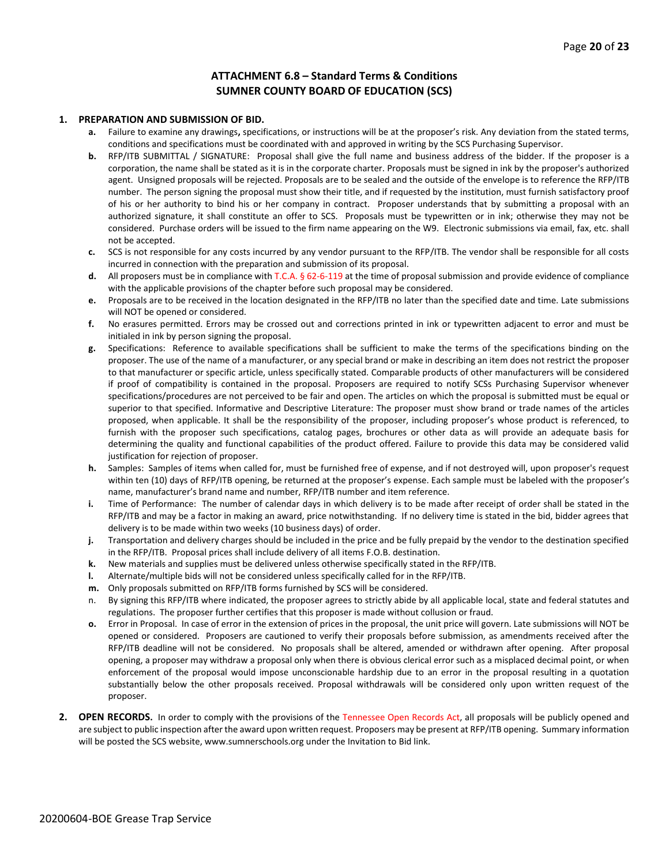#### **ATTACHMENT 6.8 – Standard Terms & Conditions SUMNER COUNTY BOARD OF EDUCATION (SCS)**

#### **1. PREPARATION AND SUBMISSION OF BID.**

- **a.** Failure to examine any drawings**,** specifications, or instructions will be at the proposer's risk. Any deviation from the stated terms, conditions and specifications must be coordinated with and approved in writing by the SCS Purchasing Supervisor.
- **b.** RFP/ITB SUBMITTAL / SIGNATURE: Proposal shall give the full name and business address of the bidder. If the proposer is a corporation, the name shall be stated as it is in the corporate charter. Proposals must be signed in ink by the proposer's authorized agent. Unsigned proposals will be rejected. Proposals are to be sealed and the outside of the envelope is to reference the RFP/ITB number. The person signing the proposal must show their title, and if requested by the institution, must furnish satisfactory proof of his or her authority to bind his or her company in contract. Proposer understands that by submitting a proposal with an authorized signature, it shall constitute an offer to SCS. Proposals must be typewritten or in ink; otherwise they may not be considered. Purchase orders will be issued to the firm name appearing on the W9. Electronic submissions via email, fax, etc. shall not be accepted.
- **c.** SCS is not responsible for any costs incurred by any vendor pursuant to the RFP/ITB. The vendor shall be responsible for all costs incurred in connection with the preparation and submission of its proposal.
- **d.** All proposers must be in compliance with T.C.A. § 62-6-119 at the time of proposal submission and provide evidence of compliance with the applicable provisions of the chapter before such proposal may be considered.
- **e.** Proposals are to be received in the location designated in the RFP/ITB no later than the specified date and time. Late submissions will NOT be opened or considered.
- **f.** No erasures permitted. Errors may be crossed out and corrections printed in ink or typewritten adjacent to error and must be initialed in ink by person signing the proposal.
- **g.** Specifications: Reference to available specifications shall be sufficient to make the terms of the specifications binding on the proposer. The use of the name of a manufacturer, or any special brand or make in describing an item does not restrict the proposer to that manufacturer or specific article, unless specifically stated. Comparable products of other manufacturers will be considered if proof of compatibility is contained in the proposal. Proposers are required to notify SCSs Purchasing Supervisor whenever specifications/procedures are not perceived to be fair and open. The articles on which the proposal is submitted must be equal or superior to that specified. Informative and Descriptive Literature: The proposer must show brand or trade names of the articles proposed, when applicable. It shall be the responsibility of the proposer, including proposer's whose product is referenced, to furnish with the proposer such specifications, catalog pages, brochures or other data as will provide an adequate basis for determining the quality and functional capabilities of the product offered. Failure to provide this data may be considered valid justification for rejection of proposer.
- **h.** Samples: Samples of items when called for, must be furnished free of expense, and if not destroyed will, upon proposer's request within ten (10) days of RFP/ITB opening, be returned at the proposer's expense. Each sample must be labeled with the proposer's name, manufacturer's brand name and number, RFP/ITB number and item reference.
- **i.** Time of Performance: The number of calendar days in which delivery is to be made after receipt of order shall be stated in the RFP/ITB and may be a factor in making an award, price notwithstanding. If no delivery time is stated in the bid, bidder agrees that delivery is to be made within two weeks (10 business days) of order.
- **j.** Transportation and delivery charges should be included in the price and be fully prepaid by the vendor to the destination specified in the RFP/ITB. Proposal prices shall include delivery of all items F.O.B. destination.
- **k.** New materials and supplies must be delivered unless otherwise specifically stated in the RFP/ITB.
- **l.** Alternate/multiple bids will not be considered unless specifically called for in the RFP/ITB.
- **m.** Only proposals submitted on RFP/ITB forms furnished by SCS will be considered.
- n. By signing this RFP/ITB where indicated, the proposer agrees to strictly abide by all applicable local, state and federal statutes and regulations. The proposer further certifies that this proposer is made without collusion or fraud.
- **o.** Error in Proposal. In case of error in the extension of prices in the proposal, the unit price will govern. Late submissions will NOT be opened or considered. Proposers are cautioned to verify their proposals before submission, as amendments received after the RFP/ITB deadline will not be considered. No proposals shall be altered, amended or withdrawn after opening. After proposal opening, a proposer may withdraw a proposal only when there is obvious clerical error such as a misplaced decimal point, or when enforcement of the proposal would impose unconscionable hardship due to an error in the proposal resulting in a quotation substantially below the other proposals received. Proposal withdrawals will be considered only upon written request of the proposer.
- **2. OPEN RECORDS.** In order to comply with the provisions of the Tennessee Open Records Act, all proposals will be publicly opened and are subject to public inspection after the award upon written request. Proposers may be present at RFP/ITB opening. Summary information will be posted the SCS website, www.sumnerschools.org under the Invitation to Bid link.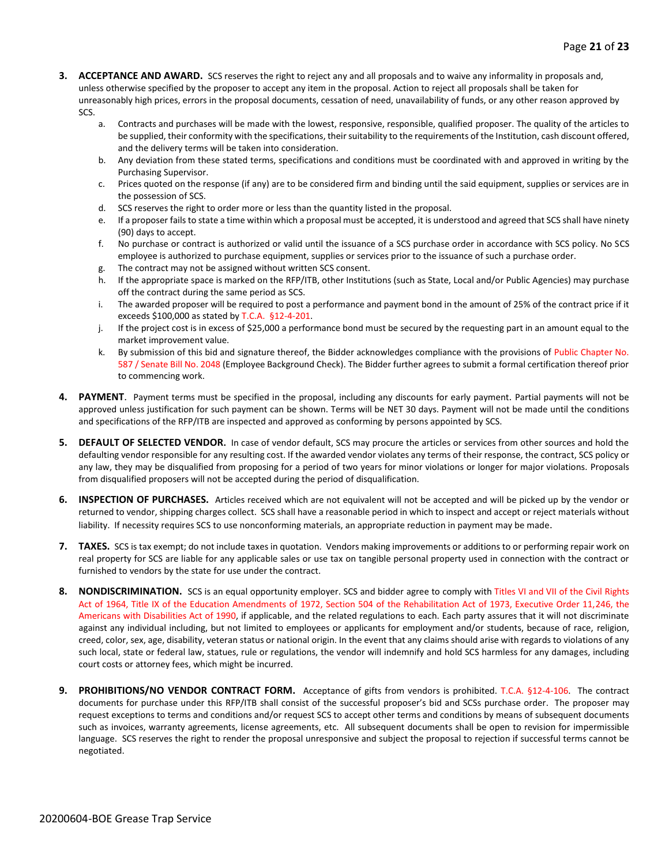- **3. ACCEPTANCE AND AWARD.** SCS reserves the right to reject any and all proposals and to waive any informality in proposals and, unless otherwise specified by the proposer to accept any item in the proposal. Action to reject all proposals shall be taken for unreasonably high prices, errors in the proposal documents, cessation of need, unavailability of funds, or any other reason approved by SCS.
	- a. Contracts and purchases will be made with the lowest, responsive, responsible, qualified proposer. The quality of the articles to be supplied, their conformity with the specifications, their suitability to the requirements of the Institution, cash discount offered, and the delivery terms will be taken into consideration.
	- b. Any deviation from these stated terms, specifications and conditions must be coordinated with and approved in writing by the Purchasing Supervisor.
	- c. Prices quoted on the response (if any) are to be considered firm and binding until the said equipment, supplies or services are in the possession of SCS.
	- d. SCS reserves the right to order more or less than the quantity listed in the proposal.
	- e. If a proposer fails to state a time within which a proposal must be accepted, it is understood and agreed that SCS shall have ninety (90) days to accept.
	- f. No purchase or contract is authorized or valid until the issuance of a SCS purchase order in accordance with SCS policy. No SCS employee is authorized to purchase equipment, supplies or services prior to the issuance of such a purchase order.
	- g. The contract may not be assigned without written SCS consent.
	- h. If the appropriate space is marked on the RFP/ITB, other Institutions (such as State, Local and/or Public Agencies) may purchase off the contract during the same period as SCS.
	- i. The awarded proposer will be required to post a performance and payment bond in the amount of 25% of the contract price if it exceeds \$100,000 as stated by T.C.A. §12-4-201.
	- j. If the project cost is in excess of \$25,000 a performance bond must be secured by the requesting part in an amount equal to the market improvement value.
	- k. By submission of this bid and signature thereof, the Bidder acknowledges compliance with the provisions of Public Chapter No. 587 / Senate Bill No. 2048 (Employee Background Check). The Bidder further agrees to submit a formal certification thereof prior to commencing work.
- **4. PAYMENT**. Payment terms must be specified in the proposal, including any discounts for early payment. Partial payments will not be approved unless justification for such payment can be shown. Terms will be NET 30 days. Payment will not be made until the conditions and specifications of the RFP/ITB are inspected and approved as conforming by persons appointed by SCS.
- **5. DEFAULT OF SELECTED VENDOR.** In case of vendor default, SCS may procure the articles or services from other sources and hold the defaulting vendor responsible for any resulting cost. If the awarded vendor violates any terms of their response, the contract, SCS policy or any law, they may be disqualified from proposing for a period of two years for minor violations or longer for major violations. Proposals from disqualified proposers will not be accepted during the period of disqualification.
- **6. INSPECTION OF PURCHASES.** Articles received which are not equivalent will not be accepted and will be picked up by the vendor or returned to vendor, shipping charges collect. SCS shall have a reasonable period in which to inspect and accept or reject materials without liability. If necessity requires SCS to use nonconforming materials, an appropriate reduction in payment may be made.
- **7. TAXES.** SCS is tax exempt; do not include taxes in quotation. Vendors making improvements or additions to or performing repair work on real property for SCS are liable for any applicable sales or use tax on tangible personal property used in connection with the contract or furnished to vendors by the state for use under the contract.
- **8. NONDISCRIMINATION.** SCS is an equal opportunity employer. SCS and bidder agree to comply with Titles VI and VII of the Civil Rights Act of 1964, Title IX of the Education Amendments of 1972, Section 504 of the Rehabilitation Act of 1973, Executive Order 11,246, the Americans with Disabilities Act of 1990, if applicable, and the related regulations to each. Each party assures that it will not discriminate against any individual including, but not limited to employees or applicants for employment and/or students, because of race, religion, creed, color, sex, age, disability, veteran status or national origin. In the event that any claims should arise with regards to violations of any such local, state or federal law, statues, rule or regulations, the vendor will indemnify and hold SCS harmless for any damages, including court costs or attorney fees, which might be incurred.
- **9. PROHIBITIONS/NO VENDOR CONTRACT FORM.** Acceptance of gifts from vendors is prohibited. T.C.A. §12-4-106. The contract documents for purchase under this RFP/ITB shall consist of the successful proposer's bid and SCSs purchase order. The proposer may request exceptions to terms and conditions and/or request SCS to accept other terms and conditions by means of subsequent documents such as invoices, warranty agreements, license agreements, etc. All subsequent documents shall be open to revision for impermissible language. SCS reserves the right to render the proposal unresponsive and subject the proposal to rejection if successful terms cannot be negotiated.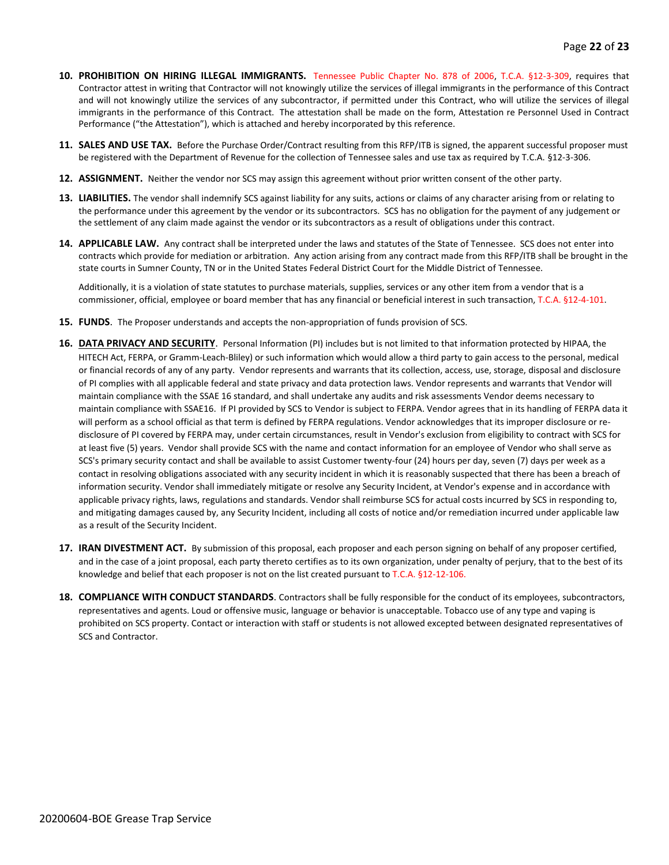- **10. PROHIBITION ON HIRING ILLEGAL IMMIGRANTS.** Tennessee Public Chapter No. 878 of 2006, T.C.A. §12-3-309, requires that Contractor attest in writing that Contractor will not knowingly utilize the services of illegal immigrants in the performance of this Contract and will not knowingly utilize the services of any subcontractor, if permitted under this Contract, who will utilize the services of illegal immigrants in the performance of this Contract. The attestation shall be made on the form, Attestation re Personnel Used in Contract Performance ("the Attestation"), which is attached and hereby incorporated by this reference.
- **11. SALES AND USE TAX.** Before the Purchase Order/Contract resulting from this RFP/ITB is signed, the apparent successful proposer must be registered with the Department of Revenue for the collection of Tennessee sales and use tax as required by T.C.A. §12-3-306.
- **12. ASSIGNMENT.** Neither the vendor nor SCS may assign this agreement without prior written consent of the other party.
- **13. LIABILITIES.** The vendor shall indemnify SCS against liability for any suits, actions or claims of any character arising from or relating to the performance under this agreement by the vendor or its subcontractors. SCS has no obligation for the payment of any judgement or the settlement of any claim made against the vendor or its subcontractors as a result of obligations under this contract.
- **14. APPLICABLE LAW.** Any contract shall be interpreted under the laws and statutes of the State of Tennessee. SCS does not enter into contracts which provide for mediation or arbitration. Any action arising from any contract made from this RFP/ITB shall be brought in the state courts in Sumner County, TN or in the United States Federal District Court for the Middle District of Tennessee.

Additionally, it is a violation of state statutes to purchase materials, supplies, services or any other item from a vendor that is a commissioner, official, employee or board member that has any financial or beneficial interest in such transaction, T.C.A. §12-4-101.

- **15. FUNDS**. The Proposer understands and accepts the non-appropriation of funds provision of SCS.
- **16. DATA PRIVACY AND SECURITY**. Personal Information (PI) includes but is not limited to that information protected by HIPAA, the HITECH Act, FERPA, or Gramm-Leach-Bliley) or such information which would allow a third party to gain access to the personal, medical or financial records of any of any party. Vendor represents and warrants that its collection, access, use, storage, disposal and disclosure of PI complies with all applicable federal and state privacy and data protection laws. Vendor represents and warrants that Vendor will maintain compliance with the SSAE 16 standard, and shall undertake any audits and risk assessments Vendor deems necessary to maintain compliance with SSAE16. If PI provided by SCS to Vendor is subject to FERPA. Vendor agrees that in its handling of FERPA data it will perform as a school official as that term is defined by FERPA regulations. Vendor acknowledges that its improper disclosure or redisclosure of PI covered by FERPA may, under certain circumstances, result in Vendor's exclusion from eligibility to contract with SCS for at least five (5) years. Vendor shall provide SCS with the name and contact information for an employee of Vendor who shall serve as SCS's primary security contact and shall be available to assist Customer twenty-four (24) hours per day, seven (7) days per week as a contact in resolving obligations associated with any security incident in which it is reasonably suspected that there has been a breach of information security. Vendor shall immediately mitigate or resolve any Security Incident, at Vendor's expense and in accordance with applicable privacy rights, laws, regulations and standards. Vendor shall reimburse SCS for actual costs incurred by SCS in responding to, and mitigating damages caused by, any Security Incident, including all costs of notice and/or remediation incurred under applicable law as a result of the Security Incident.
- **17. IRAN DIVESTMENT ACT.** By submission of this proposal, each proposer and each person signing on behalf of any proposer certified, and in the case of a joint proposal, each party thereto certifies as to its own organization, under penalty of perjury, that to the best of its knowledge and belief that each proposer is not on the list created pursuant to T.C.A. §12-12-106.
- **18. COMPLIANCE WITH CONDUCT STANDARDS**. Contractors shall be fully responsible for the conduct of its employees, subcontractors, representatives and agents. Loud or offensive music, language or behavior is unacceptable. Tobacco use of any type and vaping is prohibited on SCS property. Contact or interaction with staff or students is not allowed excepted between designated representatives of SCS and Contractor.